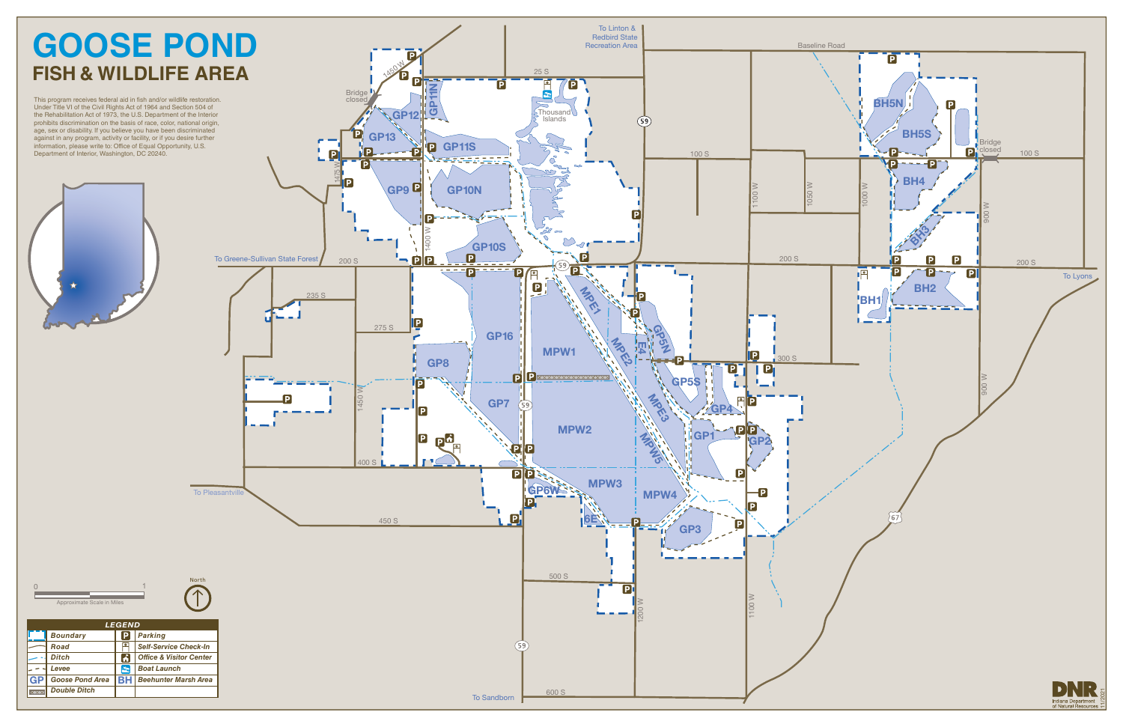